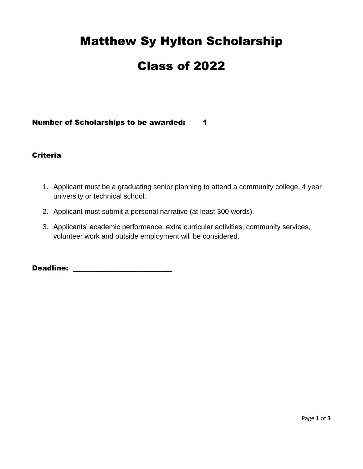# Matthew Sy Hylton Scholarship

# Class of 2022

#### Number of Scholarships to be awarded: 1

#### Criteria

- 1. Applicant must be a graduating senior planning to attend a community college, 4 year university or technical school.
- 2. Applicant must submit a personal narrative (at least 300 words).
- 3. Applicants' academic performance, extra curricular activities, community services, volunteer work and outside employment will be considered.

Deadline: \_\_\_\_\_\_\_\_\_\_\_\_\_\_\_\_\_\_\_\_\_\_\_\_\_\_\_\_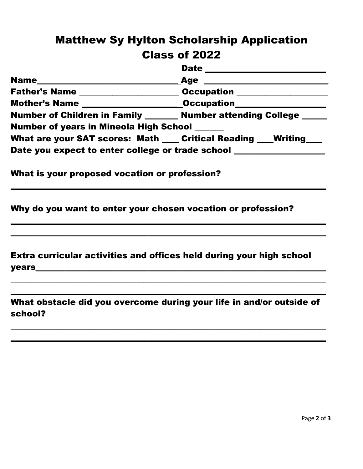### Matthew Sy Hylton Scholarship Application Class of 2022

|                                                                     | <b>Date</b><br><u> 1980 - Jan Barbara, martin da kasar Amerikaan kasar da</u> |
|---------------------------------------------------------------------|-------------------------------------------------------------------------------|
| Name                                                                | <b>Age</b>                                                                    |
| Father's Name                                                       |                                                                               |
| Mother's Name ____________________                                  | <b>Occupation</b>                                                             |
| Number of Children in Family _______ Number attending College _____ |                                                                               |
| <b>Number of years in Mineola High School _____</b>                 |                                                                               |
| What are your SAT scores: Math ___ Critical Reading _               | <b>Writing</b>                                                                |
| Date you expect to enter college or trade school                    |                                                                               |

 $\_$  ,  $\_$  ,  $\_$  ,  $\_$  ,  $\_$  ,  $\_$  ,  $\_$  ,  $\_$  ,  $\_$  ,  $\_$  ,  $\_$  ,  $\_$  ,  $\_$  ,  $\_$  ,  $\_$  ,  $\_$  ,  $\_$  ,  $\_$  ,  $\_$  ,  $\_$  ,  $\_$  ,  $\_$  ,  $\_$  ,  $\_$  ,  $\_$  ,  $\_$  ,  $\_$  ,  $\_$  ,  $\_$  ,  $\_$  ,  $\_$  ,  $\_$  ,  $\_$  ,  $\_$  ,  $\_$  ,  $\_$  ,  $\_$  ,

\_\_\_\_\_\_\_\_\_\_\_\_\_\_\_\_\_\_\_\_\_\_\_\_\_\_\_\_\_\_\_\_\_\_\_\_\_\_\_\_\_\_\_\_\_\_\_\_\_\_\_\_\_\_\_\_\_\_\_\_\_\_\_\_\_\_\_\_\_\_\_\_\_\_\_\_ \_\_\_\_\_\_\_\_\_\_\_\_\_\_\_\_\_\_\_\_\_\_\_\_\_\_\_\_\_\_\_\_\_\_\_\_\_\_\_\_\_\_\_\_\_\_\_\_\_\_\_\_\_\_\_\_\_\_\_\_\_\_\_\_\_\_\_\_\_\_\_\_\_\_\_\_

What is your proposed vocation or profession?

Why do you want to enter your chosen vocation or profession?

Extra curricular activities and offices held during your high school  $y$ ears $\qquad \qquad \qquad$ 

What obstacle did you overcome during your life in and/or outside of school?

\_\_\_\_\_\_\_\_\_\_\_\_\_\_\_\_\_\_\_\_\_\_\_\_\_\_\_\_\_\_\_\_\_\_\_\_\_\_\_\_\_\_\_\_\_\_\_\_\_\_\_\_\_\_\_\_\_\_\_\_\_\_\_\_\_\_\_\_\_\_\_\_\_\_\_\_  $\_$  ,  $\_$  ,  $\_$  ,  $\_$  ,  $\_$  ,  $\_$  ,  $\_$  ,  $\_$  ,  $\_$  ,  $\_$  ,  $\_$  ,  $\_$  ,  $\_$  ,  $\_$  ,  $\_$  ,  $\_$  ,  $\_$  ,  $\_$  ,  $\_$  ,  $\_$  ,  $\_$  ,  $\_$  ,  $\_$  ,  $\_$  ,  $\_$  ,  $\_$  ,  $\_$  ,  $\_$  ,  $\_$  ,  $\_$  ,  $\_$  ,  $\_$  ,  $\_$  ,  $\_$  ,  $\_$  ,  $\_$  ,  $\_$  ,

 $\_$  ,  $\_$  ,  $\_$  ,  $\_$  ,  $\_$  ,  $\_$  ,  $\_$  ,  $\_$  ,  $\_$  ,  $\_$  ,  $\_$  ,  $\_$  ,  $\_$  ,  $\_$  ,  $\_$  ,  $\_$  ,  $\_$  ,  $\_$  ,  $\_$  ,  $\_$  ,  $\_$  ,  $\_$  ,  $\_$  ,  $\_$  ,  $\_$  ,  $\_$  ,  $\_$  ,  $\_$  ,  $\_$  ,  $\_$  ,  $\_$  ,  $\_$  ,  $\_$  ,  $\_$  ,  $\_$  ,  $\_$  ,  $\_$  , \_\_\_\_\_\_\_\_\_\_\_\_\_\_\_\_\_\_\_\_\_\_\_\_\_\_\_\_\_\_\_\_\_\_\_\_\_\_\_\_\_\_\_\_\_\_\_\_\_\_\_\_\_\_\_\_\_\_\_\_\_\_\_\_\_\_\_\_\_\_\_\_\_\_\_\_